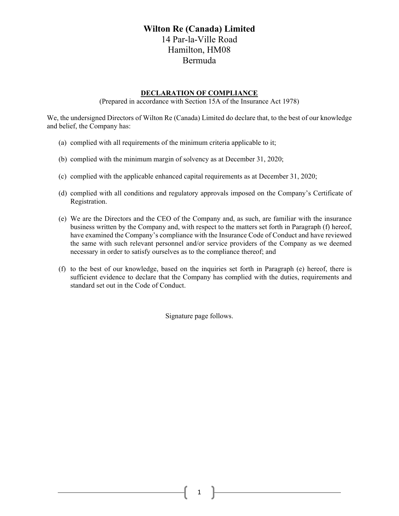## **Wilton Re (Canada) Limited**  14 Par-la-Ville Road Hamilton, HM08 Bermuda

## **DECLARATION OF COMPLIANCE**

(Prepared in accordance with Section 15A of the Insurance Act 1978)

We, the undersigned Directors of Wilton Re (Canada) Limited do declare that, to the best of our knowledge and belief, the Company has:

- (a) complied with all requirements of the minimum criteria applicable to it;
- (b) complied with the minimum margin of solvency as at December 31, 2020;
- (c) complied with the applicable enhanced capital requirements as at December 31, 2020;
- (d) complied with all conditions and regulatory approvals imposed on the Company's Certificate of Registration.
- (e) We are the Directors and the CEO of the Company and, as such, are familiar with the insurance business written by the Company and, with respect to the matters set forth in Paragraph (f) hereof, have examined the Company's compliance with the Insurance Code of Conduct and have reviewed the same with such relevant personnel and/or service providers of the Company as we deemed necessary in order to satisfy ourselves as to the compliance thereof; and
- (f) to the best of our knowledge, based on the inquiries set forth in Paragraph (e) hereof, there is sufficient evidence to declare that the Company has complied with the duties, requirements and standard set out in the Code of Conduct.

Signature page follows.

1